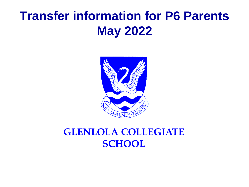## **Transfer information for P6 Parents May 2022**



### **GLENLOLA COLLEGIATE SCHOOL**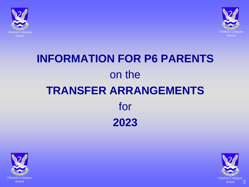



# **INFORMATION FOR P6 PARENTS** on the **TRANSFER ARRANGEMENTS** for **2023**



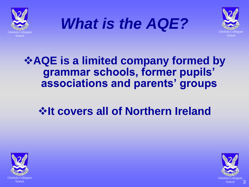





### **AQE is a limited company formed by grammar schools, former pupils' associations and parents' groups**

### **Extrace covers all of Northern Ireland**



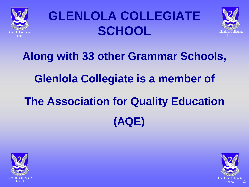

# **GLENLOLA COLLEGIATE SCHOOL**



# **Along with 33 other Grammar Schools, Glenlola Collegiate is a member of The Association for Quality Education (AQE)**



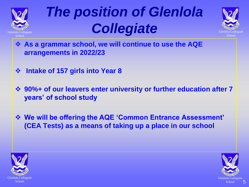

# *The position of Glenlola Collegiate*



- **As a grammar school, we will continue to use the AQE arrangements in 2022/23**
- **Intake of 157 girls into Year 8**
- **90%+ of our leavers enter university or further education after 7 years' of school study**
- **We will be offering the AQE 'Common Entrance Assessment' (CEA Tests) as a means of taking up a place in our school**



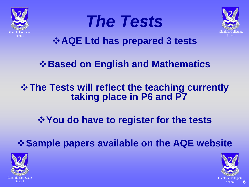

# *The Tests*



**AQE Ltd has prepared 3 tests**

### *<b>❖ Based on English and Mathematics*

### **☆ The Tests will reflect the teaching currently taking place in P6 and P7**

### *<u><b>*  $\diamond$  You do have to register for the tests</u>

**Sample papers available on the AQE website**



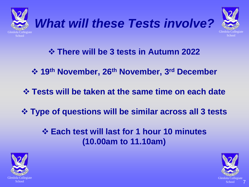





- **There will be 3 tests in Autumn 2022**
- **19th November, 26th November, 3rd December**
- **Tests will be taken at the same time on each date**
- **Type of questions will be similar across all 3 tests**
	- **Each test will last for 1 hour 10 minutes (10.00am to 11.10am)**



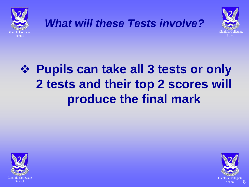





# **Pupils can take all 3 tests or only 2 tests and their top 2 scores will produce the final mark**



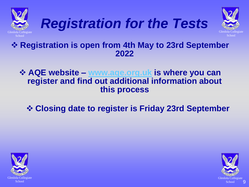





#### **Registration is open from 4th May to 23rd September 2022**

 **AQE website – [www.aqe.org.uk](http://www.aqe.org.uk/) is where you can register and find out additional information about this process** 

**Closing date to register is Friday 23rd September** 



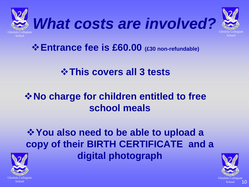

**☆ Entrance fee is £60.00** (£30 non-refundable)

### **<u><b>☆This covers all 3 tests</u>**</u>

### **☆ No charge for children entitled to free school meals**

### *<u><b>*  $\diamond$  You also need to be able to upload a</u> **copy of their BIRTH CERTIFICATE and a digital photograph**



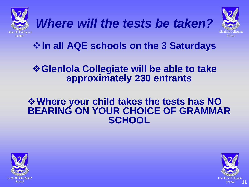





**In all AQE schools on the 3 Saturdays**

#### **Glenlola Collegiate will be able to take approximately 230 entrants**

#### **Where your child takes the tests has NO BEARING ON YOUR CHOICE OF GRAMMAR SCHOOL**



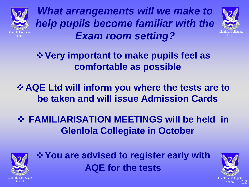

*What arrangements will we make to help pupils become familiar with the Exam room setting?*



**Very important to make pupils feel as comfortable as possible**

**AQE Ltd will inform you where the tests are to be taken and will issue Admission Cards**

 **FAMILIARISATION MEETINGS will be held in Glenlola Collegiate in October**



*<u><b>*  $\diamond$  You are advised to register early with</u> **AQE for the tests**

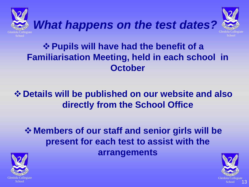





### **Pupils will have had the benefit of a Familiarisation Meeting, held in each school in October**

### **Details will be published on our website and also directly from the School Office**

### **☆ Members of our staff and senior girls will be present for each test to assist with the arrangements**



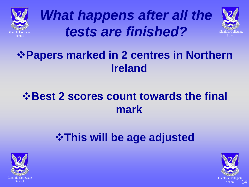





## **Papers marked in 2 centres in Northern Ireland**

### $\diamond$  **Best 2 scores count towards the final mark**

## **This will be age adjusted**



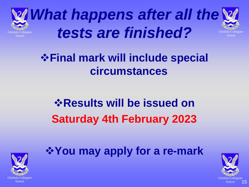

Glenlola Collegiate School *What happens after all the tests are finished?*

### **Final mark will include special circumstances**

# *<b>☆ Results will be issued on* **Saturday 4th February 2023**



**You may apply for a re-mark**

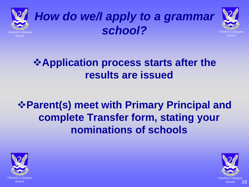

# *How do we/I apply to a grammar school?*



### **Application process starts after the results are issued**

### **Parent(s) meet with Primary Principal and complete Transfer form, stating your nominations of schools**



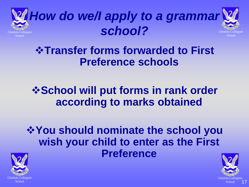



**Transfer forms forwarded to First Preference schools**

### *<b>❖School will put forms in rank order* **according to marks obtained**

**You should nominate the school you wish your child to enter as the First Preference**



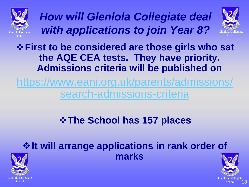

*How will Glenlola Collegiate deal with applications to join Year 8?*



**First to be considered are those girls who sat the AQE CEA tests. They have priority. Admissions criteria will be published on**

[https://www.eani.org.uk/parents/admissions/](https://www.eani.org.uk/parents/admissions/search-admissions-criteria) search-admissions-criteria

### **The School has 157 places**

#### **☆ It will arrange applications in rank order of marks**



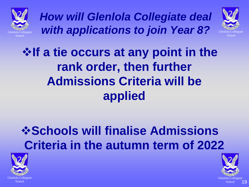

*How will Glenlola Collegiate deal with applications to join Year 8?*



# **If a tie occurs at any point in the rank order, then further Admissions Criteria will be applied**

# *<b>☆Schools will finalise Admissions* **Criteria in the autumn term of 2022**



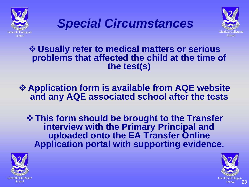





#### **Usually refer to medical matters or serious problems that affected the child at the time of the test(s)**

#### **Application form is available from AQE website and any AQE associated school after the tests**

**This form should be brought to the Transfer interview with the Primary Principal and uploaded onto the EA Transfer Online Application portal with supporting evidence.**



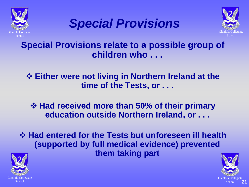





**Special Provisions relate to a possible group of children who . . .**

**Either were not living in Northern Ireland at the time of the Tests, or . . .**

 **Had received more than 50% of their primary education outside Northern Ireland, or . . .**

 **Had entered for the Tests but unforeseen ill health (supported by full medical evidence) prevented them taking part**



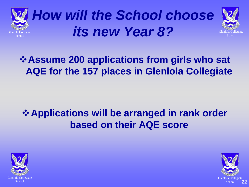





### **Assume 200 applications from girls who sat AQE for the 157 places in Glenlola Collegiate**

### **Applications will be arranged in rank order based on their AQE score**



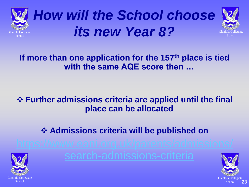





#### **If more than one application for the 157th place is tied with the same AQE score then …**

#### **Further admissions criteria are applied until the final place can be allocated**

#### **☆ Admissions criteria will be published on**



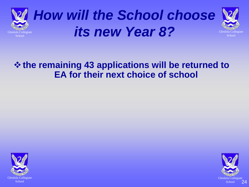





#### **the remaining 43 applications will be returned to EA for their next choice of school**



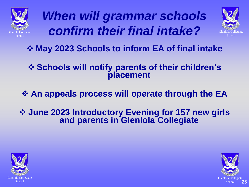

*When will grammar schools confirm their final intake?*



**May 2023 Schools to inform EA of final intake**

#### **Schools will notify parents of their children's placement**

**An appeals process will operate through the EA**

 **June 2023 Introductory Evening for 157 new girls and parents in Glenlola Collegiate**



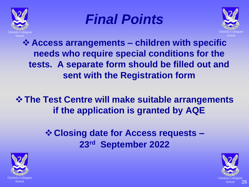





**Access arrangements – children with specific needs who require special conditions for the tests. A separate form should be filled out and sent with the Registration form**

**The Test Centre will make suitable arrangements if the application is granted by AQE**

> **Closing date for Access requests – 23rd September 2022**